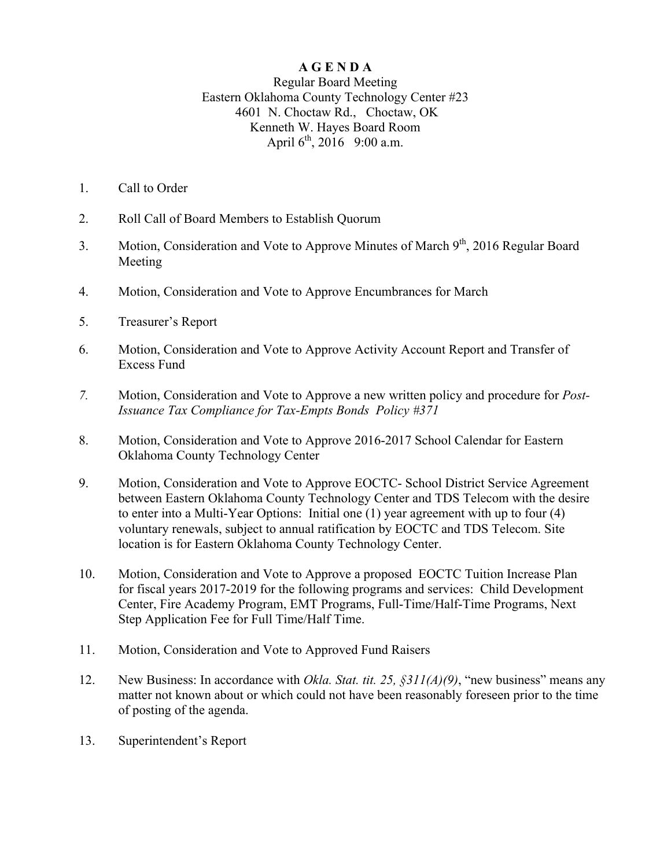## **A G E N D A**

Regular Board Meeting Eastern Oklahoma County Technology Center #23 4601 N. Choctaw Rd., Choctaw, OK Kenneth W. Hayes Board Room April  $6^{th}$ , 2016 9:00 a.m.

- 1. Call to Order
- 2. Roll Call of Board Members to Establish Quorum
- 3. Motion, Consideration and Vote to Approve Minutes of March  $9<sup>th</sup>$ , 2016 Regular Board Meeting
- 4. Motion, Consideration and Vote to Approve Encumbrances for March
- 5. Treasurer's Report
- 6. Motion, Consideration and Vote to Approve Activity Account Report and Transfer of Excess Fund
- *7.* Motion, Consideration and Vote to Approve a new written policy and procedure for *Post-Issuance Tax Compliance for Tax-Empts Bonds Policy #371*
- 8. Motion, Consideration and Vote to Approve 2016-2017 School Calendar for Eastern Oklahoma County Technology Center
- 9. Motion, Consideration and Vote to Approve EOCTC- School District Service Agreement between Eastern Oklahoma County Technology Center and TDS Telecom with the desire to enter into a Multi-Year Options: Initial one (1) year agreement with up to four (4) voluntary renewals, subject to annual ratification by EOCTC and TDS Telecom. Site location is for Eastern Oklahoma County Technology Center.
- 10. Motion, Consideration and Vote to Approve a proposed EOCTC Tuition Increase Plan for fiscal years 2017-2019 for the following programs and services: Child Development Center, Fire Academy Program, EMT Programs, Full-Time/Half-Time Programs, Next Step Application Fee for Full Time/Half Time.
- 11. Motion, Consideration and Vote to Approved Fund Raisers
- 12. New Business: In accordance with *Okla. Stat. tit. 25, §311(A)(9)*, "new business" means any matter not known about or which could not have been reasonably foreseen prior to the time of posting of the agenda.
- 13. Superintendent's Report